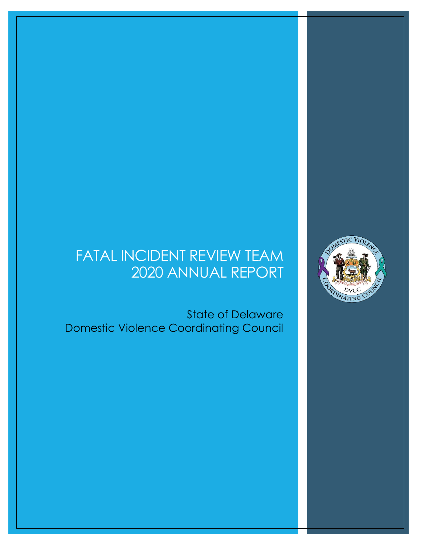## FATAL INCIDENT REVIEW TEAM 2020 ANNUAL REPORT

 State of Delaware Domestic Violence Coordinating Council

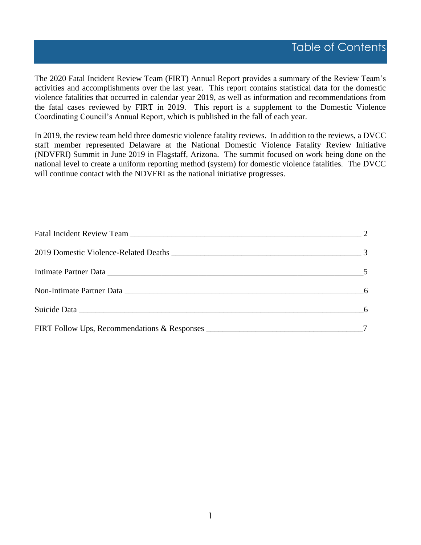The 2020 Fatal Incident Review Team (FIRT) Annual Report provides a summary of the Review Team's activities and accomplishments over the last year. This report contains statistical data for the domestic violence fatalities that occurred in calendar year 2019, as well as information and recommendations from the fatal cases reviewed by FIRT in 2019. This report is a supplement to the Domestic Violence Coordinating Council's Annual Report, which is published in the fall of each year.

In 2019, the review team held three domestic violence fatality reviews. In addition to the reviews, a DVCC staff member represented Delaware at the National Domestic Violence Fatality Review Initiative (NDVFRI) Summit in June 2019 in Flagstaff, Arizona. The summit focused on work being done on the national level to create a uniform reporting method (system) for domestic violence fatalities. The DVCC will continue contact with the NDVFRI as the national initiative progresses.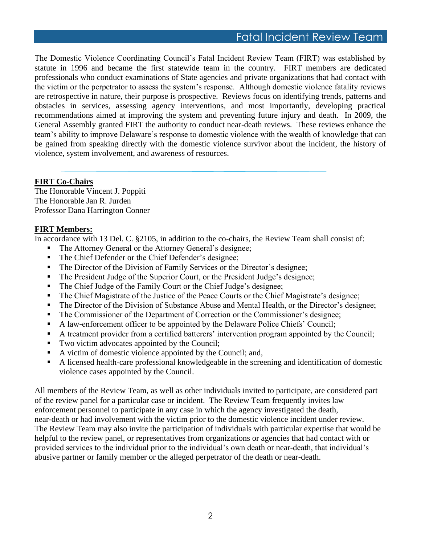## Fatal Incident Review Team

The Domestic Violence Coordinating Council's Fatal Incident Review Team (FIRT) was established by statute in 1996 and became the first statewide team in the country. FIRT members are dedicated professionals who conduct examinations of State agencies and private organizations that had contact with the victim or the perpetrator to assess the system's response. Although domestic violence fatality reviews are retrospective in nature, their purpose is prospective. Reviews focus on identifying trends, patterns and obstacles in services, assessing agency interventions, and most importantly, developing practical recommendations aimed at improving the system and preventing future injury and death. In 2009, the General Assembly granted FIRT the authority to conduct near-death reviews. These reviews enhance the team's ability to improve Delaware's response to domestic violence with the wealth of knowledge that can be gained from speaking directly with the domestic violence survivor about the incident, the history of violence, system involvement, and awareness of resources.

#### **FIRT Co-Chairs**

The Honorable Vincent J. Poppiti The Honorable Jan R. Jurden Professor Dana Harrington Conner

#### **FIRT Members:**

In accordance with 13 Del. C. §2105, in addition to the co-chairs, the Review Team shall consist of:

- The Attorney General or the Attorney General's designee;
- The Chief Defender or the Chief Defender's designee;
- **The Director of the Division of Family Services or the Director's designee;**
- The President Judge of the Superior Court, or the President Judge's designee;
- The Chief Judge of the Family Court or the Chief Judge's designee;
- The Chief Magistrate of the Justice of the Peace Courts or the Chief Magistrate's designee;
- The Director of the Division of Substance Abuse and Mental Health, or the Director's designee;
- **The Commissioner of the Department of Correction or the Commissioner's designee;**
- A law-enforcement officer to be appointed by the Delaware Police Chiefs' Council;
- A treatment provider from a certified batterers' intervention program appointed by the Council;
- Two victim advocates appointed by the Council;
- A victim of domestic violence appointed by the Council; and,
- A licensed health-care professional knowledgeable in the screening and identification of domestic violence cases appointed by the Council.

All members of the Review Team, as well as other individuals invited to participate, are considered part of the review panel for a particular case or incident. The Review Team frequently invites law enforcement personnel to participate in any case in which the agency investigated the death, near-death or had involvement with the victim prior to the domestic violence incident under review. The Review Team may also invite the participation of individuals with particular expertise that would be helpful to the review panel, or representatives from organizations or agencies that had contact with or provided services to the individual prior to the individual's own death or near-death, that individual's abusive partner or family member or the alleged perpetrator of the death or near-death.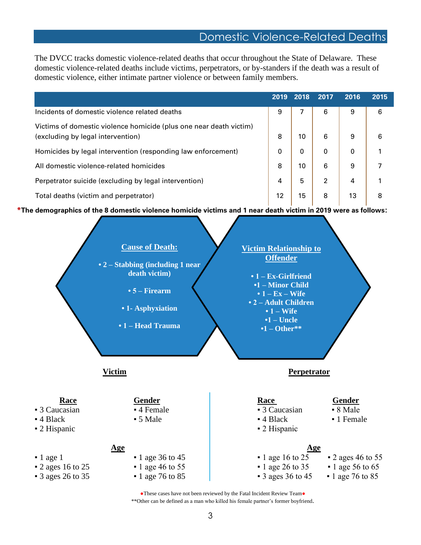## Domestic Violence-Related Deaths

The DVCC tracks domestic violence-related deaths that occur throughout the State of Delaware. These domestic violence-related deaths include victims, perpetrators, or by-standers if the death was a result of domestic violence, either intimate partner violence or between family members.

|                                                                                                         | 2019 | 2018 | 2017           | 2016 | 2015 |
|---------------------------------------------------------------------------------------------------------|------|------|----------------|------|------|
| Incidents of domestic violence related deaths                                                           | 9    |      | 6              | 9    | 6    |
| Victims of domestic violence homicide (plus one near death victim)<br>(excluding by legal intervention) | 8    | 10   | 6              | 9    | 6    |
| Homicides by legal intervention (responding law enforcement)                                            | 0    | 0    | 0              | 0    |      |
| All domestic violence-related homicides                                                                 | 8    | 10   | 6              | 9    |      |
| Perpetrator suicide (excluding by legal intervention)                                                   | 4    | 5    | $\overline{2}$ | 4    |      |
| Total deaths (victim and perpetrator)                                                                   | 12   | 15   | 8              | 13   | 8    |

**\*The demographics of the 8 domestic violence homicide victims and 1 near death victim in 2019 were as follows:** 

|                                                                               | <b>Cause of Death:</b><br>• 2 – Stabbing (including 1 near<br>death victim)<br>$\cdot$ 5 – Firearm<br>• 1- Asphyxiation<br>• 1 – Head Trauma | <b>Victim Relationship to</b><br><b>Offender</b><br>$\cdot$ 1 – Ex-Girlfriend<br>•1 - Minor Child<br>$\bullet$ 1 – Ex – Wife<br>• 2 - Adult Children<br>$\cdot$ 1 – Wife<br>$\cdot$ 1 – Uncle<br>$\cdot 1 - \text{Other}^{**}$ |                                                                          |
|-------------------------------------------------------------------------------|----------------------------------------------------------------------------------------------------------------------------------------------|--------------------------------------------------------------------------------------------------------------------------------------------------------------------------------------------------------------------------------|--------------------------------------------------------------------------|
|                                                                               | <b>Victim</b>                                                                                                                                | Perpetrator                                                                                                                                                                                                                    |                                                                          |
| <b>Race</b><br>- 3 Caucasian<br>$-4$ Black<br>$\blacksquare$ 2 Hispanic       | <b>Gender</b><br>- 4 Female<br>• 5 Male                                                                                                      | <b>Race</b><br>• 3 Caucasian<br>$-4$ Black<br>- 2 Hispanic                                                                                                                                                                     | <b>Gender</b><br>• 8 Male<br>• 1 Female                                  |
| $\blacksquare$ 1 age 1<br><b>2</b> ages 16 to 25<br>$\bullet$ 3 ages 26 to 35 | <u>Age</u><br>$\blacksquare$ 1 age 36 to 45<br>$-1$ age 46 to 55<br>$-1$ age 76 to 85                                                        | <u>Age</u><br>$\blacksquare$ 1 age 16 to 25<br>$\blacksquare$ 1 age 26 to 35<br>$\bullet$ 3 ages 36 to 45                                                                                                                      | $-2$ ages 46 to 55<br>$\blacksquare$ 1 age 56 to 65<br>$-1$ age 76 to 85 |

●These cases have not been reviewed by the Fatal Incident Review Team● \*\*Other can be defined as a man who killed his female partner's former boyfriend.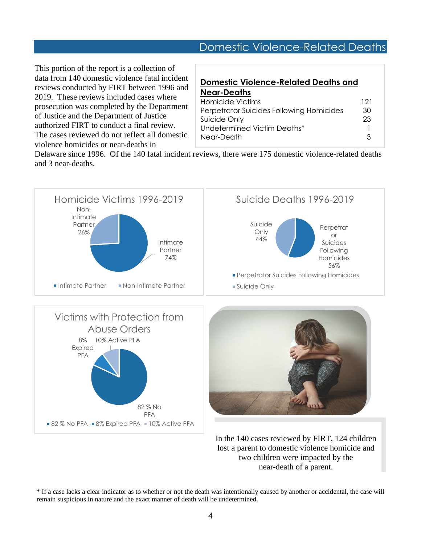## Domestic Violence-Related Deaths

This portion of the report is a collection of data from 140 domestic violence fatal incident reviews conducted by FIRT between 1996 and 2019. These reviews included cases where prosecution was completed by the Department of Justice and the Department of Justice authorized FIRT to conduct a final review. The cases reviewed do not reflect all domestic violence homicides or near-deaths in

#### **Domestic Violence-Related Deaths and Near-Deaths**

| Homicide Victims                         | 121 |
|------------------------------------------|-----|
| Perpetrator Suicides Following Homicides | 30  |
| Suicide Only                             | 23  |
| Undetermined Victim Deaths*              |     |
| Near-Death                               | ર   |

Delaware since 1996. Of the 140 fatal incident reviews, there were 175 domestic violence-related deaths and 3 near-deaths.



\* If a case lacks a clear indicator as to whether or not the death was intentionally caused by another or accidental, the case will remain suspicious in nature and the exact manner of death will be undetermined.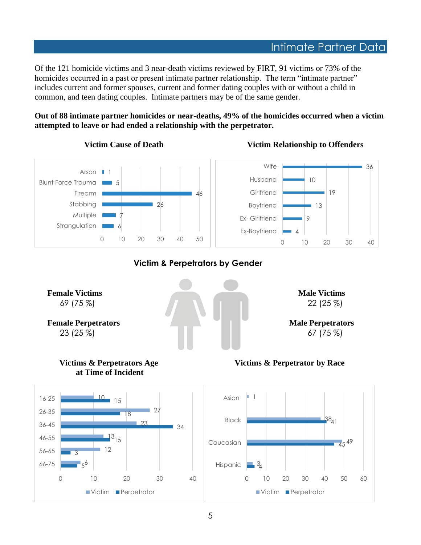Of the 121 homicide victims and 3 near-death victims reviewed by FIRT, 91 victims or 73% of the homicides occurred in a past or present intimate partner relationship. The term "intimate partner" includes current and former spouses, current and former dating couples with or without a child in common, and teen dating couples. Intimate partners may be of the same gender.

**Out of 88 intimate partner homicides or near-deaths, 49% of the homicides occurred when a victim attempted to leave or had ended a relationship with the perpetrator.** 

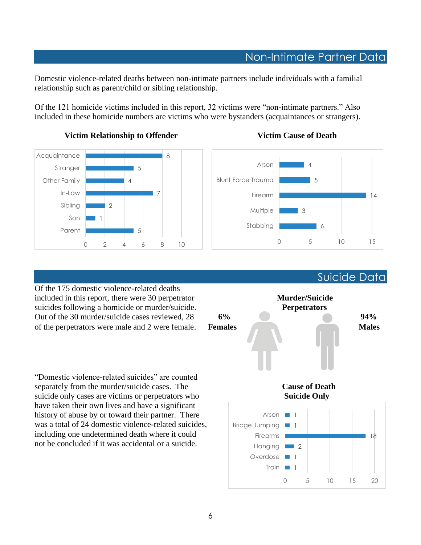## Non-Intimate Partner Data

Domestic violence-related deaths between non-intimate partners include individuals with a familial relationship such as parent/child or sibling relationship.

Of the 121 homicide victims included in this report, 32 victims were "non-intimate partners." Also included in these homicide numbers are victims who were bystanders (acquaintances or strangers).



#### **Victim Relationship to Offender Manufacture 1 Victim Cause of Death**



Of the 175 domestic violence-related deaths included in this report, there were 30 perpetrator **Murder/Suicide** suicides following a homicide or murder/suicide. **Perpetrators** 

"Domestic violence-related suicides" are counted separately from the murder/suicide cases. The **Cause of Death** suicide only cases are victims or perpetrators who **Suicide Only** have taken their own lives and have a significant history of abuse by or toward their partner. There was a total of 24 domestic violence-related suicides, including one undetermined death where it could not be concluded if it was accidental or a suicide.



Train **1** Overdose 1 Hanging **1** 2

Firearms

6

Suicide Data

18

0 5 10 15 20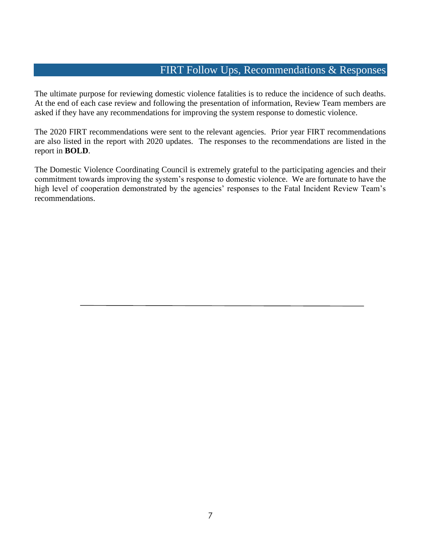#### FIRT Follow Ups, Recommendations & Responses

The ultimate purpose for reviewing domestic violence fatalities is to reduce the incidence of such deaths. At the end of each case review and following the presentation of information, Review Team members are asked if they have any recommendations for improving the system response to domestic violence.

The 2020 FIRT recommendations were sent to the relevant agencies. Prior year FIRT recommendations are also listed in the report with 2020 updates. The responses to the recommendations are listed in the report in **BOLD**.

The Domestic Violence Coordinating Council is extremely grateful to the participating agencies and their commitment towards improving the system's response to domestic violence. We are fortunate to have the high level of cooperation demonstrated by the agencies' responses to the Fatal Incident Review Team's recommendations.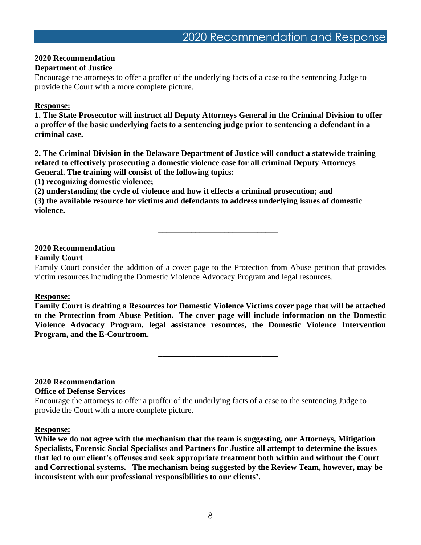#### **2020 Recommendation**

#### **Department of Justice**

Encourage the attorneys to offer a proffer of the underlying facts of a case to the sentencing Judge to provide the Court with a more complete picture.

#### **Response:**

**1. The State Prosecutor will instruct all Deputy Attorneys General in the Criminal Division to offer a proffer of the basic underlying facts to a sentencing judge prior to sentencing a defendant in a criminal case.** 

**2. The Criminal Division in the Delaware Department of Justice will conduct a statewide training related to effectively prosecuting a domestic violence case for all criminal Deputy Attorneys General. The training will consist of the following topics:** 

**(1) recognizing domestic violence;**

**(2) understanding the cycle of violence and how it effects a criminal prosecution; and**

**(3) the available resource for victims and defendants to address underlying issues of domestic violence.** 

#### **2020 Recommendation Family Court**

#### Family Court consider the addition of a cover page to the Protection from Abuse petition that provides victim resources including the Domestic Violence Advocacy Program and legal resources.

**\_\_\_\_\_\_\_\_\_\_\_\_\_\_\_\_\_\_\_\_\_\_\_\_\_\_\_\_\_**

#### **Response:**

**Family Court is drafting a Resources for Domestic Violence Victims cover page that will be attached to the Protection from Abuse Petition. The cover page will include information on the Domestic Violence Advocacy Program, legal assistance resources, the Domestic Violence Intervention Program, and the E-Courtroom.**

**\_\_\_\_\_\_\_\_\_\_\_\_\_\_\_\_\_\_\_\_\_\_\_\_\_\_\_\_\_**

#### **2020 Recommendation**

#### **Office of Defense Services**

Encourage the attorneys to offer a proffer of the underlying facts of a case to the sentencing Judge to provide the Court with a more complete picture.

#### **Response:**

**While we do not agree with the mechanism that the team is suggesting, our Attorneys, Mitigation Specialists, Forensic Social Specialists and Partners for Justice all attempt to determine the issues that led to our client's offenses and seek appropriate treatment both within and without the Court and Correctional systems. The mechanism being suggested by the Review Team, however, may be inconsistent with our professional responsibilities to our clients'.**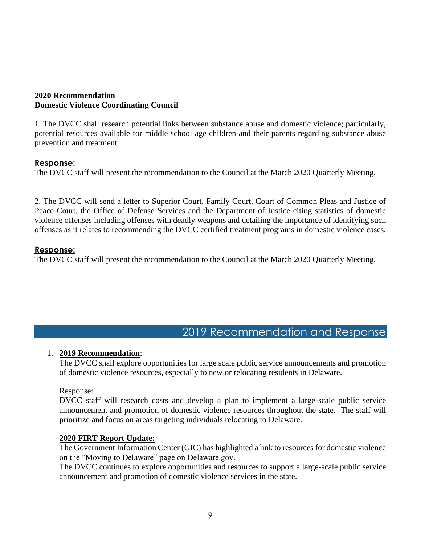#### **2020 Recommendation Domestic Violence Coordinating Council**

1. The DVCC shall research potential links between substance abuse and domestic violence; particularly, potential resources available for middle school age children and their parents regarding substance abuse prevention and treatment.

#### **Response:**

The DVCC staff will present the recommendation to the Council at the March 2020 Quarterly Meeting.

2. The DVCC will send a letter to Superior Court, Family Court, Court of Common Pleas and Justice of Peace Court, the Office of Defense Services and the Department of Justice citing statistics of domestic violence offenses including offenses with deadly weapons and detailing the importance of identifying such offenses as it relates to recommending the DVCC certified treatment programs in domestic violence cases.

#### **Response:**

The DVCC staff will present the recommendation to the Council at the March 2020 Quarterly Meeting.

## 2019 Recommendation and Response

#### 1. **2019 Recommendation**:

The DVCC shall explore opportunities for large scale public service announcements and promotion of domestic violence resources, especially to new or relocating residents in Delaware.

#### Response:

DVCC staff will research costs and develop a plan to implement a large-scale public service announcement and promotion of domestic violence resources throughout the state. The staff will prioritize and focus on areas targeting individuals relocating to Delaware.

#### **2020 FIRT Report Update:**

The Government Information Center (GIC) has highlighted a link to resources for domestic violence on the "Moving to Delaware" page on Delaware.gov.

The DVCC continues to explore opportunities and resources to support a large-scale public service announcement and promotion of domestic violence services in the state.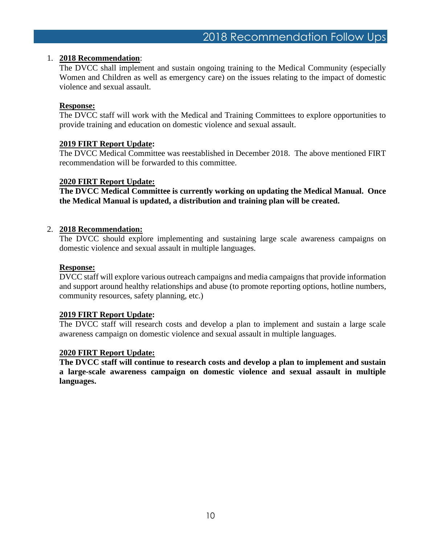#### 1. **2018 Recommendation**:

The DVCC shall implement and sustain ongoing training to the Medical Community (especially Women and Children as well as emergency care) on the issues relating to the impact of domestic violence and sexual assault.

#### **Response:**

The DVCC staff will work with the Medical and Training Committees to explore opportunities to provide training and education on domestic violence and sexual assault.

#### **2019 FIRT Report Update:**

The DVCC Medical Committee was reestablished in December 2018. The above mentioned FIRT recommendation will be forwarded to this committee.

#### **2020 FIRT Report Update:**

**The DVCC Medical Committee is currently working on updating the Medical Manual. Once the Medical Manual is updated, a distribution and training plan will be created.** 

#### 2. **2018 Recommendation:**

The DVCC should explore implementing and sustaining large scale awareness campaigns on domestic violence and sexual assault in multiple languages.

#### **Response:**

DVCC staff will explore various outreach campaigns and media campaigns that provide information and support around healthy relationships and abuse (to promote reporting options, hotline numbers, community resources, safety planning, etc.)

#### **2019 FIRT Report Update:**

The DVCC staff will research costs and develop a plan to implement and sustain a large scale awareness campaign on domestic violence and sexual assault in multiple languages.

#### **2020 FIRT Report Update:**

**The DVCC staff will continue to research costs and develop a plan to implement and sustain a large-scale awareness campaign on domestic violence and sexual assault in multiple languages.**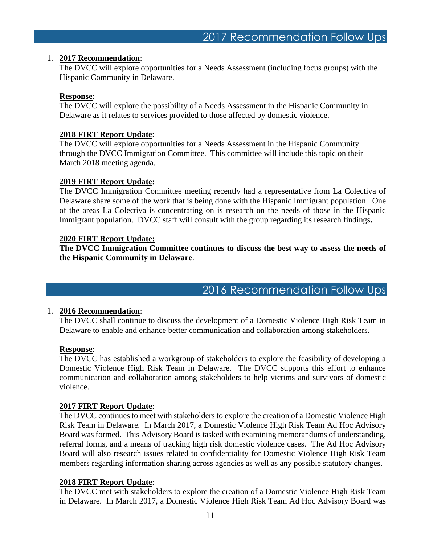#### 1. **2017 Recommendation**:

The DVCC will explore opportunities for a Needs Assessment (including focus groups) with the Hispanic Community in Delaware.

#### **Response**:

The DVCC will explore the possibility of a Needs Assessment in the Hispanic Community in Delaware as it relates to services provided to those affected by domestic violence.

#### **2018 FIRT Report Update**:

The DVCC will explore opportunities for a Needs Assessment in the Hispanic Community through the DVCC Immigration Committee. This committee will include this topic on their March 2018 meeting agenda.

#### **2019 FIRT Report Update:**

The DVCC Immigration Committee meeting recently had a representative from La Colectiva of Delaware share some of the work that is being done with the Hispanic Immigrant population. One of the areas La Colectiva is concentrating on is research on the needs of those in the Hispanic Immigrant population. DVCC staff will consult with the group regarding its research findings**.** 

#### **2020 FIRT Report Update:**

**The DVCC Immigration Committee continues to discuss the best way to assess the needs of the Hispanic Community in Delaware**.

2016 Recommendation Follow Ups

#### 1. **2016 Recommendation**:

The DVCC shall continue to discuss the development of a Domestic Violence High Risk Team in Delaware to enable and enhance better communication and collaboration among stakeholders.

#### **Response**:

The DVCC has established a workgroup of stakeholders to explore the feasibility of developing a Domestic Violence High Risk Team in Delaware. The DVCC supports this effort to enhance communication and collaboration among stakeholders to help victims and survivors of domestic violence.

#### **2017 FIRT Report Update**:

The DVCC continues to meet with stakeholders to explore the creation of a Domestic Violence High Risk Team in Delaware. In March 2017, a Domestic Violence High Risk Team Ad Hoc Advisory Board was formed. This Advisory Board is tasked with examining memorandums of understanding, referral forms, and a means of tracking high risk domestic violence cases. The Ad Hoc Advisory Board will also research issues related to confidentiality for Domestic Violence High Risk Team members regarding information sharing across agencies as well as any possible statutory changes.

#### **2018 FIRT Report Update**:

The DVCC met with stakeholders to explore the creation of a Domestic Violence High Risk Team in Delaware. In March 2017, a Domestic Violence High Risk Team Ad Hoc Advisory Board was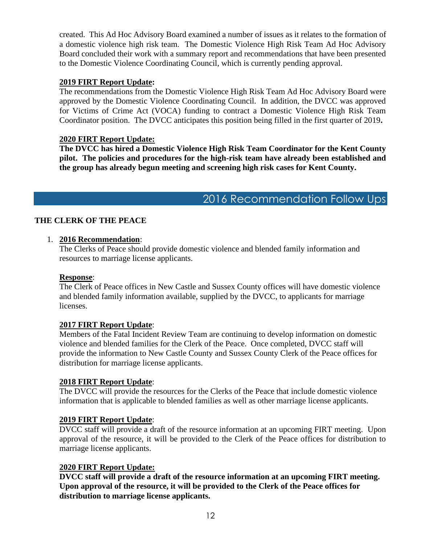created. This Ad Hoc Advisory Board examined a number of issues as it relates to the formation of a domestic violence high risk team. The Domestic Violence High Risk Team Ad Hoc Advisory Board concluded their work with a summary report and recommendations that have been presented to the Domestic Violence Coordinating Council, which is currently pending approval.

#### **2019 FIRT Report Update:**

The recommendations from the Domestic Violence High Risk Team Ad Hoc Advisory Board were approved by the Domestic Violence Coordinating Council. In addition, the DVCC was approved for Victims of Crime Act (VOCA) funding to contract a Domestic Violence High Risk Team Coordinator position. The DVCC anticipates this position being filled in the first quarter of 2019**.** 

#### **2020 FIRT Report Update:**

**The DVCC has hired a Domestic Violence High Risk Team Coordinator for the Kent County pilot. The policies and procedures for the high-risk team have already been established and the group has already begun meeting and screening high risk cases for Kent County.** 

## 2016 Recommendation Follow Ups

#### **THE CLERK OF THE PEACE**

#### 1. **2016 Recommendation**:

The Clerks of Peace should provide domestic violence and blended family information and resources to marriage license applicants.

#### **Response**:

The Clerk of Peace offices in New Castle and Sussex County offices will have domestic violence and blended family information available, supplied by the DVCC, to applicants for marriage licenses.

#### **2017 FIRT Report Update**:

Members of the Fatal Incident Review Team are continuing to develop information on domestic violence and blended families for the Clerk of the Peace. Once completed, DVCC staff will provide the information to New Castle County and Sussex County Clerk of the Peace offices for distribution for marriage license applicants.

#### **2018 FIRT Report Update**:

The DVCC will provide the resources for the Clerks of the Peace that include domestic violence information that is applicable to blended families as well as other marriage license applicants.

#### **2019 FIRT Report Update**:

DVCC staff will provide a draft of the resource information at an upcoming FIRT meeting. Upon approval of the resource, it will be provided to the Clerk of the Peace offices for distribution to marriage license applicants.

#### **2020 FIRT Report Update:**

**DVCC staff will provide a draft of the resource information at an upcoming FIRT meeting. Upon approval of the resource, it will be provided to the Clerk of the Peace offices for distribution to marriage license applicants.**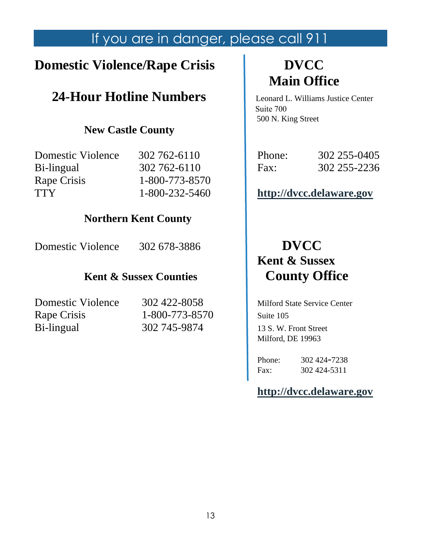## If you are in danger, please call 911

## **Domestic Violence/Rape Crisis**  $\qquad$  **DVCC**

## **24-Hour Hotline Numbers** Leonard L. Williams Justice Center

## **New Castle County**

| TTY               | 1-800-232-5460 |        | http://dvcc.delaware.gov |
|-------------------|----------------|--------|--------------------------|
| Rape Crisis       | 1-800-773-8570 |        |                          |
| Bi-lingual        | 302 762 - 6110 | Fax:   | 302 255-2236             |
| Domestic Violence | 302 762-6110   | Phone: | 302 255-0405             |

## **Northern Kent County**

Domestic Violence 302 678-3886 **DVCC** 

## **Kent & Sussex Counties | County Office**

Rape Crisis 1-800-773-8570 Suite 105 Bi-lingual 302 745-9874 13 S. W. Front Street

# **Main Office**

 Suite 700 500 N. King Street

| Phone: | 302 255-0405 |
|--------|--------------|
| Fax:   | 302 255-2236 |

## [http://dvcc.delaware.gov](http://dvcc.delaware.gov/)

# **Kent & Sussex**

**Domestic Violence** 302 422-8058 Milford State Service Center Milford, DE 19963

> Phone: 302 424-7238 Fax: 302 424-5311

**[http://dvcc.delaware.gov](http://dvcc.delaware.gov/)**